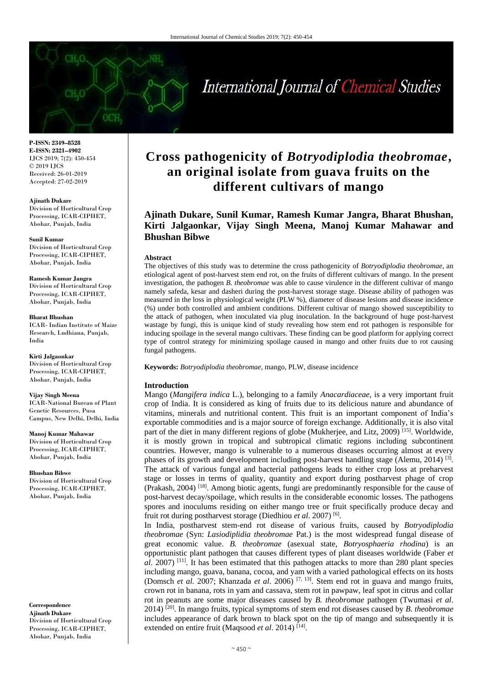# International Journal of Chemical Studies

**P-ISSN: 2349–8528 E-ISSN: 2321–4902** IJCS 2019; 7(2): 450-454 © 2019 IJCS Received: 26-01-2019 Accepted: 27-02-2019

#### **Ajinath Dukare**

Division of Horticultural Crop Processing, ICAR-CIPHET, Abohar, Punjab, India

#### **Sunil Kumar**

Division of Horticultural Crop Processing, ICAR-CIPHET, Abohar, Punjab, India

#### **Ramesh Kumar Jangra**

Division of Horticultural Crop Processing, ICAR-CIPHET, Abohar, Punjab, India

**Bharat Bhushan** ICAR- Indian Institute of Maize Research, Ludhiana, Punjab, India

**Kirti Jalgaonkar** Division of Horticultural Crop Processing, ICAR-CIPHET, Abohar, Punjab, India

# **Vijay Singh Meena** ICAR-National Bureau of Plant

Genetic Resources, Pusa Campus, New Delhi, Delhi, India

**Manoj Kumar Mahawar** Division of Horticultural Crop Processing, ICAR-CIPHET, Abohar, Punjab, India

#### **Bhushan Bibwe**

Division of Horticultural Crop Processing, ICAR-CIPHET, Abohar, Punjab, India

**Correspondence Ajinath Dukare** Division of Horticultural Crop Processing, ICAR-CIPHET, Abohar, Punjab, India

# **Cross pathogenicity of** *Botryodiplodia theobromae***, an original isolate from guava fruits on the different cultivars of mango**

**Ajinath Dukare, Sunil Kumar, Ramesh Kumar Jangra, Bharat Bhushan, Kirti Jalgaonkar, Vijay Singh Meena, Manoj Kumar Mahawar and Bhushan Bibwe**

#### **Abstract**

The objectives of this study was to determine the cross pathogenicity of *Botryodiplodia theobromae*, an etiological agent of post-harvest stem end rot, on the fruits of different cultivars of mango. In the present investigation, the pathogen *B. theobromae* was able to cause virulence in the different cultivar of mango namely safeda, kesar and dasheri during the post-harvest storage stage. Disease ability of pathogen was measured in the loss in physiological weight (PLW %), diameter of disease lesions and disease incidence (%) under both controlled and ambient conditions. Different cultivar of mango showed susceptibility to the attack of pathogen, when inoculated via plug inoculation. In the background of huge post-harvest wastage by fungi, this is unique kind of study revealing how stem end rot pathogen is responsible for inducing spoilage in the several mango cultivars. These finding can be good platform for applying correct type of control strategy for minimizing spoilage caused in mango and other fruits due to rot causing fungal pathogens.

**Keywords:** *Botryodiplodia theobromae*, mango, PLW, disease incidence

#### **Introduction**

Mango (*Mangifera indica* L.), belonging to a family *Anacardiaceae*, is a very important fruit crop of India. It is considered as king of fruits due to its delicious nature and abundance of vitamins, minerals and nutritional content. This fruit is an important component of India's exportable commodities and is a major source of foreign exchange. Additionally, it is also vital part of the diet in many different regions of globe (Mukherjee, and Litz, 2009)<sup>[15]</sup>. Worldwide, it is mostly grown in tropical and subtropical climatic regions including subcontinent countries. However, mango is vulnerable to a numerous diseases occurring almost at every phases of its growth and development including post-harvest handling stage (Alemu, 2014)<sup>[3]</sup>. The attack of various fungal and bacterial pathogens leads to either crop loss at preharvest stage or losses in terms of quality, quantity and export during postharvest phage of crop (Prakash, 2004)<sup>[18]</sup>. Among biotic agents, fungi are predominantly responsible for the cause of post-harvest decay/spoilage, which results in the considerable economic losses. The pathogens spores and inoculums residing on either mango tree or fruit specifically produce decay and fruit rot during postharvest storage (Diedhiou *et al*. 2007) [6] .

In India, postharvest stem-end rot disease of various fruits, caused by *Botryodiplodia theobromae* (Syn: *Lasiodiplidia theobromae* Pat.) is the most widespread fungal disease of great economic value. *B. theobromae* (asexual state, *Botryosphaeria rhodina*) is an opportunistic plant pathogen that causes different types of plant diseases worldwide (Faber *et al*. 2007) <sup>[11]</sup>. It has been estimated that this pathogen attacks to more than 280 plant species including mango, guava, banana, cocoa, and yam with a varied pathological effects on its hosts (Domsch *et al*. 2007; Khanzada *et al*. 2006) [7, 13]. Stem end rot in guava and mango fruits, crown rot in banana, rots in yam and cassava, stem rot in pawpaw, leaf spot in citrus and collar rot in peanuts are some major diseases caused by *B. theobromae* pathogen (Twumasi *et al*. 2014) [20]. In mango fruits, typical symptoms of stem end rot diseases caused by *B*. *theobromae*  includes appearance of dark brown to black spot on the tip of mango and subsequently it is extended on entire fruit (Maqsood et al. 2014)<sup>[14]</sup>.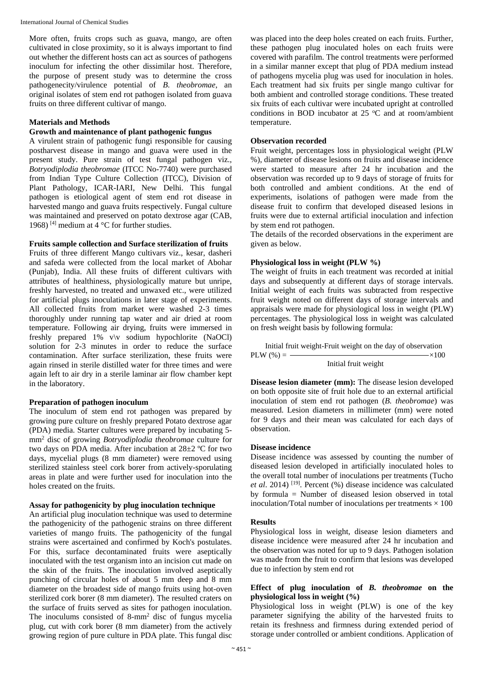More often, fruits crops such as guava, mango, are often cultivated in close proximity, so it is always important to find out whether the different hosts can act as sources of pathogens inoculum for infecting the other dissimilar host. Therefore, the purpose of present study was to determine the cross pathogenecity/virulence potential of *B*. *theobromae*, an original isolates of stem end rot pathogen isolated from guava fruits on three different cultivar of mango.

# **Materials and Methods**

# **Growth and maintenance of plant pathogenic fungus**

A virulent strain of pathogenic fungi responsible for causing postharvest disease in mango and guava were used in the present study. Pure strain of test fungal pathogen viz., *Botryodiplodia theobromae* (ITCC No-7740) were purchased from Indian Type Culture Collection (ITCC), Division of Plant Pathology, ICAR-IARI, New Delhi. This fungal pathogen is etiological agent of stem end rot disease in harvested mango and guava fruits respectively. Fungal culture was maintained and preserved on potato dextrose agar (CAB, 1968) <sup>[4]</sup> medium at  $4^{\circ}$ C for further studies.

# **Fruits sample collection and Surface sterilization of fruits**

Fruits of three different Mango cultivars viz., kesar, dasheri and safeda were collected from the local market of Abohar (Punjab), India. All these fruits of different cultivars with attributes of healthiness, physiologically mature but unripe, freshly harvested, no treated and unwaxed etc., were utilized for artificial plugs inoculations in later stage of experiments. All collected fruits from market were washed 2-3 times thoroughly under running tap water and air dried at room temperature. Following air drying, fruits were immersed in freshly prepared 1% v\v sodium hypochlorite (NaOCl) solution for 2-3 minutes in order to reduce the surface contamination. After surface sterilization, these fruits were again rinsed in sterile distilled water for three times and were again left to air dry in a sterile laminar air flow chamber kept in the laboratory.

# **Preparation of pathogen inoculum**

The inoculum of stem end rot pathogen was prepared by growing pure culture on freshly prepared Potato dextrose agar (PDA) media. Starter cultures were prepared by incubating 5 mm<sup>2</sup> disc of growing *Botryodiplodia theobromae* culture for two days on PDA media. After incubation at 28±2 ºC for two days, mycelial plugs (8 mm diameter) were removed using sterilized stainless steel cork borer from actively-sporulating areas in plate and were further used for inoculation into the holes created on the fruits.

#### **Assay for pathogenicity by plug inoculation technique**

An artificial plug inoculation technique was used to determine the pathogenicity of the pathogenic strains on three different varieties of mango fruits. The pathogenicity of the fungal strains were ascertained and confirmed by Koch's postulates. For this, surface decontaminated fruits were aseptically inoculated with the test organism into an incision cut made on the skin of the fruits. The inoculation involved aseptically punching of circular holes of about 5 mm deep and 8 mm diameter on the broadest side of mango fruits using hot-oven sterilized cork borer (8 mm diameter). The resulted craters on the surface of fruits served as sites for pathogen inoculation. The inoculums consisted of 8-mm<sup>2</sup> disc of fungus mycelia plug, cut with cork borer (8 mm diameter) from the actively growing region of pure culture in PDA plate. This fungal disc

was placed into the deep holes created on each fruits. Further, these pathogen plug inoculated holes on each fruits were covered with parafilm. The control treatments were performed in a similar manner except that plug of PDA medium instead of pathogens mycelia plug was used for inoculation in holes. Each treatment had six fruits per single mango cultivar for both ambient and controlled storage conditions. These treated six fruits of each cultivar were incubated upright at controlled conditions in BOD incubator at 25  $\degree$ C and at room/ambient temperature.

# **Observation recorded**

Fruit weight, percentages loss in physiological weight (PLW %), diameter of disease lesions on fruits and disease incidence were started to measure after 24 hr incubation and the observation was recorded up to 9 days of storage of fruits for both controlled and ambient conditions. At the end of experiments, isolations of pathogen were made from the disease fruit to confirm that developed diseased lesions in fruits were due to external artificial inoculation and infection by stem end rot pathogen.

The details of the recorded observations in the experiment are given as below.

# **Physiological loss in weight (PLW %)**

The weight of fruits in each treatment was recorded at initial days and subsequently at different days of storage intervals. Initial weight of each fruits was subtracted from respective fruit weight noted on different days of storage intervals and appraisals were made for physiological loss in weight (PLW) percentages. The physiological loss in weight was calculated on fresh weight basis by following formula:

Initial fruit weight-Fruit weight on the day of observation  $PLW (%) =$   $\times100$ Initial fruit weight

**Disease lesion diameter (mm):** The disease lesion developed on both opposite site of fruit hole due to an external artificial inoculation of stem end rot pathogen (*B. theobromae*) was measured. Lesion diameters in millimeter (mm) were noted for 9 days and their mean was calculated for each days of observation.

# **Disease incidence**

Disease incidence was assessed by counting the number of diseased lesion developed in artificially inoculated holes to the overall total number of inoculations per treatments (Tucho *et al*. 2014) [19]. Percent (%) disease incidence was calculated by formula  $=$  Number of diseased lesion observed in total inoculation/Total number of inoculations per treatments  $\times 100$ 

#### **Results**

Physiological loss in weight, disease lesion diameters and disease incidence were measured after 24 hr incubation and the observation was noted for up to 9 days. Pathogen isolation was made from the fruit to confirm that lesions was developed due to infection by stem end rot

# **Effect of plug inoculation of** *B. theobromae* **on the physiological loss in weight (%)**

Physiological loss in weight (PLW) is one of the key parameter signifying the ability of the harvested fruits to retain its freshness and firmness during extended period of storage under controlled or ambient conditions. Application of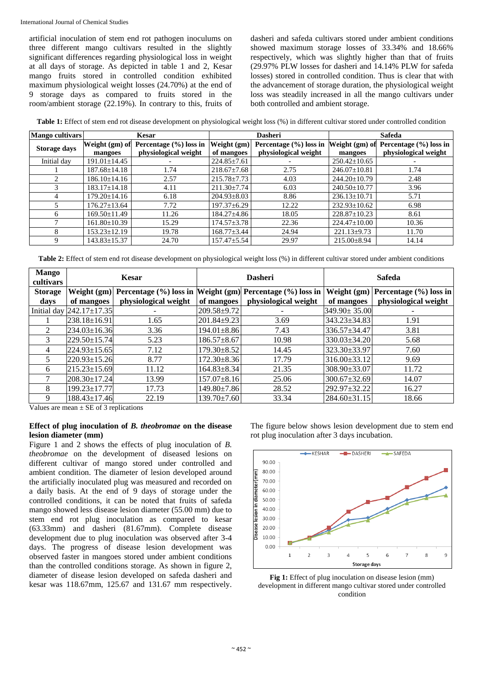artificial inoculation of stem end rot pathogen inoculums on three different mango cultivars resulted in the slightly significant differences regarding physiological loss in weight at all days of storage. As depicted in table 1 and 2, Kesar mango fruits stored in controlled condition exhibited maximum physiological weight losses (24.70%) at the end of 9 storage days as compared to fruits stored in the room/ambient storage (22.19%). In contrary to this, fruits of dasheri and safeda cultivars stored under ambient conditions showed maximum storage losses of 33.34% and 18.66% respectively, which was slightly higher than that of fruits (29.97% PLW losses for dasheri and 14.14% PLW for safeda losses) stored in controlled condition. Thus is clear that with the advancement of storage duration, the physiological weight loss was steadily increased in all the mango cultivars under both controlled and ambient storage.

**Table 1:** Effect of stem end rot disease development on physiological weight loss (%) in different cultivar stored under controlled condition

| Mango cultivars     | <b>Kesar</b>       |                            | <b>Dasheri</b>    |                            | <b>Safeda</b>      |                            |
|---------------------|--------------------|----------------------------|-------------------|----------------------------|--------------------|----------------------------|
| <b>Storage days</b> | Weight (gm) of     | Percentage $(\% )$ loss in | Weight (gm)       | Percentage $(\% )$ loss in | Weight (gm) of     | Percentage $(\% )$ loss in |
|                     | mangoes            | physiological weight       | of mangoes        | physiological weight       | mangoes            | physiological weight       |
| Initial day         | $191.01 \pm 14.45$ |                            | $224.85 \pm 7.61$ |                            | $250.42 \pm 10.65$ |                            |
|                     | $187.68 \pm 14.18$ | 1.74                       | $218.67 \pm 7.68$ | 2.75                       | $246.07 \pm 10.81$ | 1.74                       |
|                     | $186.10 \pm 14.16$ | 2.57                       | 215.78±7.73       | 4.03                       | $244.20 \pm 10.79$ | 2.48                       |
|                     | $183.17 \pm 14.18$ | 4.11                       | $211.30 \pm 7.74$ | 6.03                       | $240.50 \pm 10.77$ | 3.96                       |
| 4                   | $179.20 \pm 14.16$ | 6.18                       | $204.93 \pm 8.03$ | 8.86                       | $236.13 \pm 10.71$ | 5.71                       |
|                     | $176.27 \pm 13.64$ | 7.72                       | 197.37±6.29       | 12.22                      | $232.93 \pm 10.62$ | 6.98                       |
| 6                   | $169.50 \pm 11.49$ | 11.26                      | 184.27±4.86       | 18.05                      | $228.87 \pm 10.23$ | 8.61                       |
|                     | $161.80 \pm 10.39$ | 15.29                      | 174.57±3.78       | 22.36                      | $224.47 \pm 10.00$ | 10.36                      |
| 8                   | $153.23 \pm 12.19$ | 19.78                      | $168.77 \pm 3.44$ | 24.94                      | $221.13 \pm 9.73$  | 11.70                      |
| Q                   | $143.83 \pm 15.37$ | 24.70                      | 157.47±5.54       | 29.97                      | $215.00 \pm 8.94$  | 14.14                      |

**Table 2:** Effect of stem end rot disease development on physiological weight loss (%) in different cultivar stored under ambient conditions

| <b>Mango</b><br>cultivars | <b>Kesar</b>       |                                                                                 |                   | <b>Dasheri</b>       | <b>Safeda</b>      |                                          |
|---------------------------|--------------------|---------------------------------------------------------------------------------|-------------------|----------------------|--------------------|------------------------------------------|
| <b>Storage</b>            |                    | Weight $(gm)$ Percentage $(\%)$ loss in Weight $(gm)$ Percentage $(\%)$ loss in |                   |                      |                    | Weight $(gm)$ Percentage $(\% )$ loss in |
| days                      | of mangoes         | physiological weight                                                            | of mangoes        | physiological weight | of mangoes         | physiological weight                     |
| Initial day               | 242.17±17.35       |                                                                                 | 209.58±9.72       |                      | $349.90 \pm 35.00$ |                                          |
|                           | 238.18±16.91       | 1.65                                                                            | 201.84±9.23       | 3.69                 | 343.23±34.83       | 1.91                                     |
| 2                         | 234.03±16.36       | 3.36                                                                            | $194.01 \pm 8.86$ | 7.43                 | $336.57 \pm 34.47$ | 3.81                                     |
| 3                         | 229.50±15.74       | 5.23                                                                            | $186.57 \pm 8.67$ | 10.98                | $330.03 \pm 34.20$ | 5.68                                     |
| 4                         | 224.93±15.65       | 7.12                                                                            | $179.30 \pm 8.52$ | 14.45                | 323.30±33.97       | 7.60                                     |
| 5                         | $220.93 \pm 15.26$ | 8.77                                                                            | $172.30 \pm 8.36$ | 17.79                | $316.00\pm33.12$   | 9.69                                     |
| 6                         | $215.23 \pm 15.69$ | 11.12                                                                           | $164.83 \pm 8.34$ | 21.35                | $308.90 \pm 33.07$ | 11.72                                    |
| 7                         | 208.30±17.24       | 13.99                                                                           | $157.07 \pm 8.16$ | 25.06                | $300.67 \pm 32.69$ | 14.07                                    |
| 8                         | 199.23±17.77       | 17.73                                                                           | 149.80±7.86       | 28.52                | 292.97±32.22       | 16.27                                    |
| 9                         | $188.43 \pm 17.46$ | 22.19                                                                           | $139.70 \pm 7.60$ | 33.34                | $284.60 \pm 31.15$ | 18.66                                    |

Values are mean  $\pm$  SE of 3 replications

# **Effect of plug inoculation of** *B. theobromae* **on the disease lesion diameter (mm)**

Figure 1 and 2 shows the effects of plug inoculation of *B. theobromae* on the development of diseased lesions on different cultivar of mango stored under controlled and ambient condition. The diameter of lesion developed around the artificially inoculated plug was measured and recorded on a daily basis. At the end of 9 days of storage under the controlled conditions, it can be noted that fruits of safeda mango showed less disease lesion diameter (55.00 mm) due to stem end rot plug inoculation as compared to kesar (63.33mm) and dasheri (81.67mm). Complete disease development due to plug inoculation was observed after 3-4 days. The progress of disease lesion development was observed faster in mangoes stored under ambient conditions than the controlled conditions storage. As shown in figure 2, diameter of disease lesion developed on safeda dasheri and kesar was 118.67mm, 125.67 and 131.67 mm respectively.

The figure below shows lesion development due to stem end rot plug inoculation after 3 days incubation.



Fig 1: Effect of plug inoculation on disease lesion (mm) development in different mango cultivar stored under controlled condition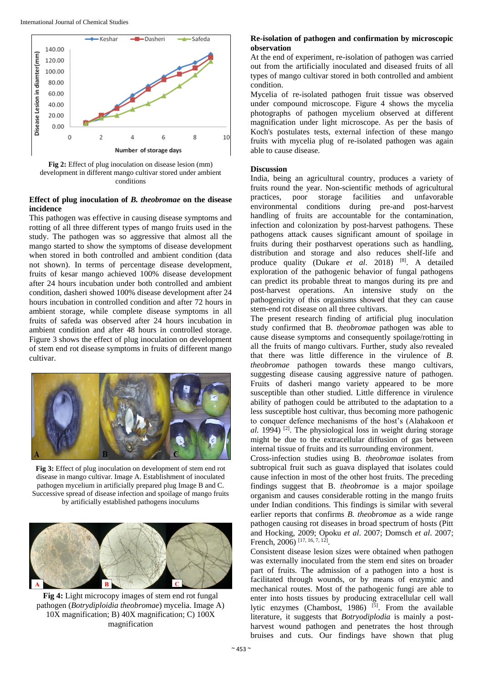

**Fig 2:** Effect of plug inoculation on disease lesion (mm) development in different mango cultivar stored under ambient conditions

# **Effect of plug inoculation of** *B. theobromae* **on the disease incidence**

This pathogen was effective in causing disease symptoms and rotting of all three different types of mango fruits used in the study. The pathogen was so aggressive that almost all the mango started to show the symptoms of disease development when stored in both controlled and ambient condition (data not shown). In terms of percentage disease development, fruits of kesar mango achieved 100% disease development after 24 hours incubation under both controlled and ambient condition, dasheri showed 100% disease development after 24 hours incubation in controlled condition and after 72 hours in ambient storage, while complete disease symptoms in all fruits of safeda was observed after 24 hours incubation in ambient condition and after 48 hours in controlled storage. Figure 3 shows the effect of plug inoculation on development of stem end rot disease symptoms in fruits of different mango cultivar.



**Fig 3:** Effect of plug inoculation on development of stem end rot disease in mango cultivar. Image A. Establishment of inoculated pathogen mycelium in artificially prepared plug Image B and C. Successive spread of disease infection and spoilage of mango fruits by artificially established pathogens inoculums



**Fig 4:** Light microcopy images of stem end rot fungal pathogen (*Botrydiploidia theobromae*) mycelia. Image A) 10X magnification; B) 40X magnification; C) 100X magnification

# **Re-isolation of pathogen and confirmation by microscopic observation**

At the end of experiment, re-isolation of pathogen was carried out from the artificially inoculated and diseased fruits of all types of mango cultivar stored in both controlled and ambient condition.

Mycelia of re-isolated pathogen fruit tissue was observed under compound microscope. Figure 4 shows the mycelia photographs of pathogen mycelium observed at different magnification under light microscope. As per the basis of Koch's postulates tests, external infection of these mango fruits with mycelia plug of re-isolated pathogen was again able to cause disease.

# **Discussion**

India, being an agricultural country, produces a variety of fruits round the year. Non-scientific methods of agricultural practices, poor storage facilities and unfavorable environmental conditions during pre-and post-harvest handling of fruits are accountable for the contamination, infection and colonization by post-harvest pathogens. These pathogens attack causes significant amount of spoilage in fruits during their postharvest operations such as handling, distribution and storage and also reduces shelf-life and produce quality (Dukare *et al*. 2018) [8]. A detailed exploration of the pathogenic behavior of fungal pathogens can predict its probable threat to mangos during its pre and post-harvest operations. An intensive study on the pathogenicity of this organisms showed that they can cause stem-end rot disease on all three cultivars.

The present research finding of artificial plug inoculation study confirmed that B. *theobromae* pathogen was able to cause disease symptoms and consequently spoilage/rotting in all the fruits of mango cultivars. Further, study also revealed that there was little difference in the virulence of *B*. *theobromae* pathogen towards these mango cultivars, suggesting disease causing aggressive nature of pathogen. Fruits of dasheri mango variety appeared to be more susceptible than other studied. Little difference in virulence ability of pathogen could be attributed to the adaptation to a less susceptible host cultivar, thus becoming more pathogenic to conquer defence mechanisms of the host's (Alahakoon *et al.* 1994) <sup>[2]</sup>. The physiological loss in weight during storage might be due to the extracellular diffusion of gas between internal tissue of fruits and its surrounding environment.

Cross-infection studies using B. *theobromae* isolates from subtropical fruit such as guava displayed that isolates could cause infection in most of the other host fruits. The preceding findings suggest that B. *theobromae* is a major spoilage organism and causes considerable rotting in the mango fruits under Indian conditions. This findings is similar with several earlier reports that confirms *B. theobromae* as a wide range pathogen causing rot diseases in broad spectrum of hosts (Pitt and Hocking, 2009; Opoku *et al*. 2007; Domsch *et al*. 2007; French, 2006)<sup>[17, 16, 7, 12]</sup>.

Consistent disease lesion sizes were obtained when pathogen was externally inoculated from the stem end sites on broader part of fruits. The admission of a pathogen into a host is facilitated through wounds, or by means of enzymic and mechanical routes. Most of the pathogenic fungi are able to enter into hosts tissues by producing extracellular cell wall lytic enzymes (Chambost, 1986)  $[5]$ . From the available literature, it suggests that *Botryodiplodia* is mainly a postharvest wound pathogen and penetrates the host through bruises and cuts. Our findings have shown that plug